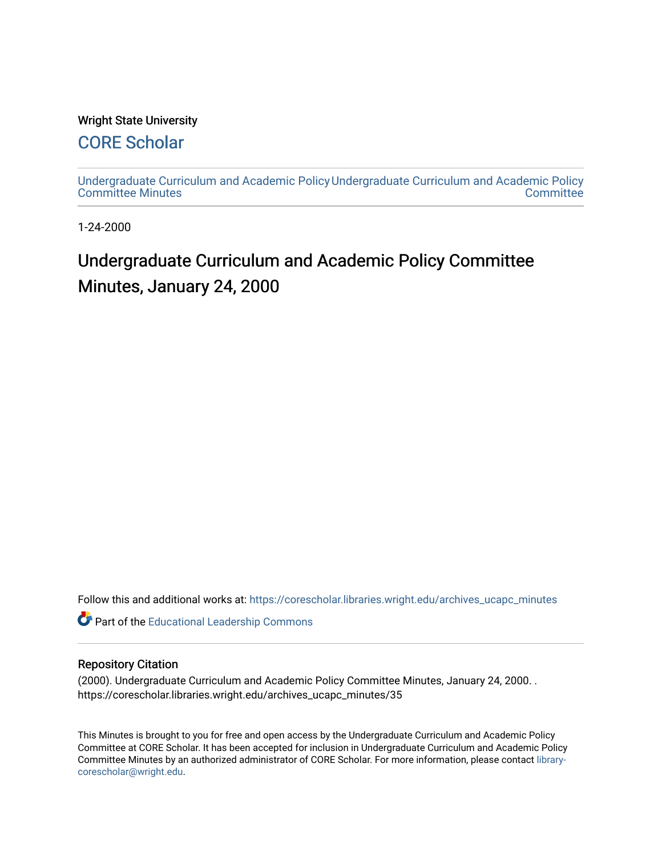### Wright State University

### [CORE Scholar](https://corescholar.libraries.wright.edu/)

[Undergraduate Curriculum and Academic Policy](https://corescholar.libraries.wright.edu/archives_ucapc_minutes) [Undergraduate Curriculum and Academic Policy](https://corescholar.libraries.wright.edu/archives_ucapc)  [Committee Minutes](https://corescholar.libraries.wright.edu/archives_ucapc_minutes) **Committee** 

1-24-2000

## Undergraduate Curriculum and Academic Policy Committee Minutes, January 24, 2000

Follow this and additional works at: [https://corescholar.libraries.wright.edu/archives\\_ucapc\\_minutes](https://corescholar.libraries.wright.edu/archives_ucapc_minutes?utm_source=corescholar.libraries.wright.edu%2Farchives_ucapc_minutes%2F35&utm_medium=PDF&utm_campaign=PDFCoverPages) 

Part of the [Educational Leadership Commons](http://network.bepress.com/hgg/discipline/1230?utm_source=corescholar.libraries.wright.edu%2Farchives_ucapc_minutes%2F35&utm_medium=PDF&utm_campaign=PDFCoverPages) 

#### Repository Citation

(2000). Undergraduate Curriculum and Academic Policy Committee Minutes, January 24, 2000. . https://corescholar.libraries.wright.edu/archives\_ucapc\_minutes/35

This Minutes is brought to you for free and open access by the Undergraduate Curriculum and Academic Policy Committee at CORE Scholar. It has been accepted for inclusion in Undergraduate Curriculum and Academic Policy Committee Minutes by an authorized administrator of CORE Scholar. For more information, please contact [library](mailto:library-corescholar@wright.edu)[corescholar@wright.edu](mailto:library-corescholar@wright.edu).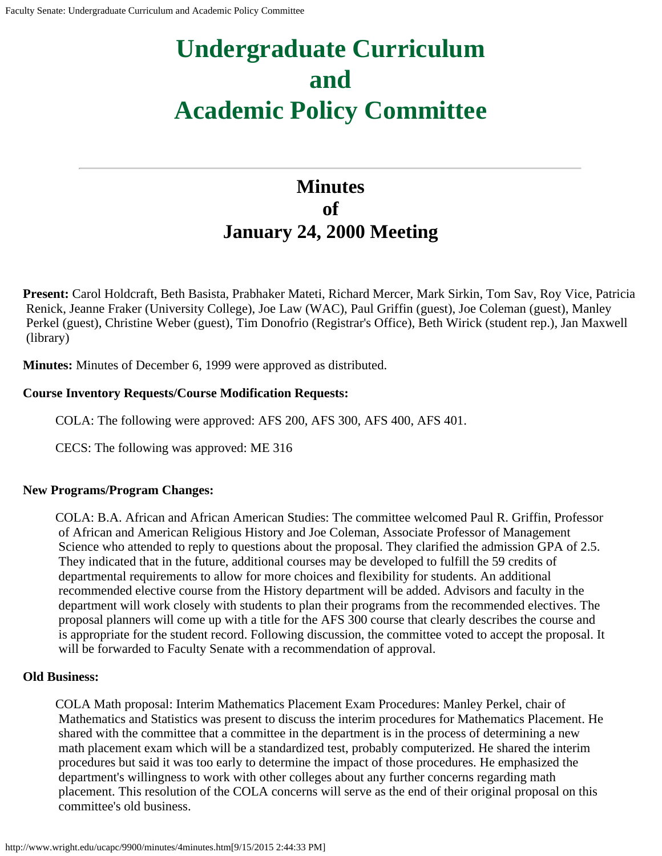# **Undergraduate Curriculum and Academic Policy Committee**

## **Minutes of January 24, 2000 Meeting**

**Present:** Carol Holdcraft, Beth Basista, Prabhaker Mateti, Richard Mercer, Mark Sirkin, Tom Sav, Roy Vice, Patricia Renick, Jeanne Fraker (University College), Joe Law (WAC), Paul Griffin (guest), Joe Coleman (guest), Manley Perkel (guest), Christine Weber (guest), Tim Donofrio (Registrar's Office), Beth Wirick (student rep.), Jan Maxwell (library)

**Minutes:** Minutes of December 6, 1999 were approved as distributed.

### **Course Inventory Requests/Course Modification Requests:**

COLA: The following were approved: AFS 200, AFS 300, AFS 400, AFS 401.

CECS: The following was approved: ME 316

### **New Programs/Program Changes:**

COLA: B.A. African and African American Studies: The committee welcomed Paul R. Griffin, Professor of African and American Religious History and Joe Coleman, Associate Professor of Management Science who attended to reply to questions about the proposal. They clarified the admission GPA of 2.5. They indicated that in the future, additional courses may be developed to fulfill the 59 credits of departmental requirements to allow for more choices and flexibility for students. An additional recommended elective course from the History department will be added. Advisors and faculty in the department will work closely with students to plan their programs from the recommended electives. The proposal planners will come up with a title for the AFS 300 course that clearly describes the course and is appropriate for the student record. Following discussion, the committee voted to accept the proposal. It will be forwarded to Faculty Senate with a recommendation of approval.

### **Old Business:**

COLA Math proposal: Interim Mathematics Placement Exam Procedures: Manley Perkel, chair of Mathematics and Statistics was present to discuss the interim procedures for Mathematics Placement. He shared with the committee that a committee in the department is in the process of determining a new math placement exam which will be a standardized test, probably computerized. He shared the interim procedures but said it was too early to determine the impact of those procedures. He emphasized the department's willingness to work with other colleges about any further concerns regarding math placement. This resolution of the COLA concerns will serve as the end of their original proposal on this committee's old business.